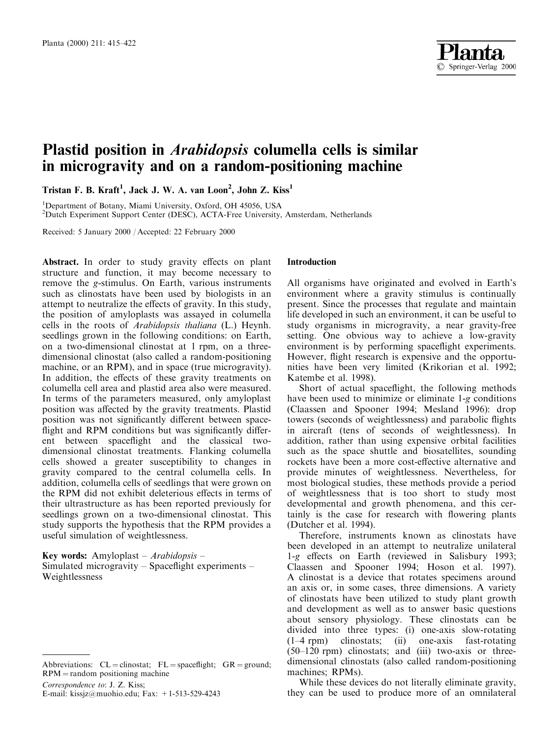

# Plastid position in *Arabidopsis* columella cells is similar in microgravity and on a random-positioning machine

Tristan F. B. Kraft<sup>1</sup>, Jack J. W. A. van Loon<sup>2</sup>, John Z. Kiss<sup>1</sup>

<sup>1</sup>Department of Botany, Miami University, Oxford, OH 45056, USA <sup>2</sup>Dutch Experiment Support Center (DESC), ACTA-Free University, Amsterdam, Netherlands

Received: 5 January 2000 / Accepted: 22 February 2000

**Abstract.** In order to study gravity effects on plant structure and function, it may become necessary to remove the g-stimulus. On Earth, various instruments such as clinostats have been used by biologists in an attempt to neutralize the effects of gravity. In this study, the position of amyloplasts was assayed in columella cells in the roots of *Arabidopsis thaliana* (L.) Heynh. seedlings grown in the following conditions: on Earth, on a two-dimensional clinostat at 1 rpm, on a threedimensional clinostat (also called a random-positioning machine, or an RPM), and in space (true microgravity). In addition, the effects of these gravity treatments on columella cell area and plastid area also were measured. In terms of the parameters measured, only amyloplast position was affected by the gravity treatments. Plastid position was not significantly different between spaceflight and RPM conditions but was significantly different between spaceflight and the classical twodimensional clinostat treatments. Flanking columella cells showed a greater susceptibility to changes in gravity compared to the central columella cells. In addition, columella cells of seedlings that were grown on the RPM did not exhibit deleterious effects in terms of their ultrastructure as has been reported previously for seedlings grown on a two-dimensional clinostat. This study supports the hypothesis that the RPM provides a useful simulation of weightlessness.

Key words: Amyloplast – Arabidopsis – Simulated microgravity – Spaceflight experiments – Weightlessness

Correspondence to: J. Z. Kiss;

### **Introduction**

All organisms have originated and evolved in Earth's environment where a gravity stimulus is continually present. Since the processes that regulate and maintain life developed in such an environment, it can be useful to study organisms in microgravity, a near gravity-free setting. One obvious way to achieve a low-gravity environment is by performing spaceflight experiments. However, flight research is expensive and the opportunities have been very limited (Krikorian et al. 1992; Katembe et al. 1998).

Short of actual spaceflight, the following methods have been used to minimize or eliminate  $1-g$  conditions (Claassen and Spooner 1994; Mesland 1996): drop towers (seconds of weightlessness) and parabolic flights in aircraft (tens of seconds of weightlessness). In addition, rather than using expensive orbital facilities such as the space shuttle and biosatellites, sounding rockets have been a more cost-effective alternative and provide minutes of weightlessness. Nevertheless, for most biological studies, these methods provide a period of weightlessness that is too short to study most developmental and growth phenomena, and this certainly is the case for research with flowering plants (Dutcher et al. 1994).

Therefore, instruments known as clinostats have been developed in an attempt to neutralize unilateral 1-g effects on Earth (reviewed in Salisbury 1993; Claassen and Spooner 1994; Hoson et al. 1997). A clinostat is a device that rotates specimens around an axis or, in some cases, three dimensions. A variety of clinostats have been utilized to study plant growth and development as well as to answer basic questions about sensory physiology. These clinostats can be divided into three types: (i) one-axis slow-rotating  $(1-4$  rpm) clinostats; (ii) one-axis fast-rotating  $(50-120$  rpm) clinostats: and (iii) two-axis or threedimensional clinostats (also called random-positioning machines; RPMs).

While these devices do not literally eliminate gravity, they can be used to produce more of an omnilateral

Abbreviations:  $CL = \text{clinostat}$ ;  $FL = \text{spacefficient}$ ;  $GR = \text{ground}$ ;  $RPM =$  random positioning machine

E-mail: kissjz@muohio.edu; Fax: +1-513-529-4243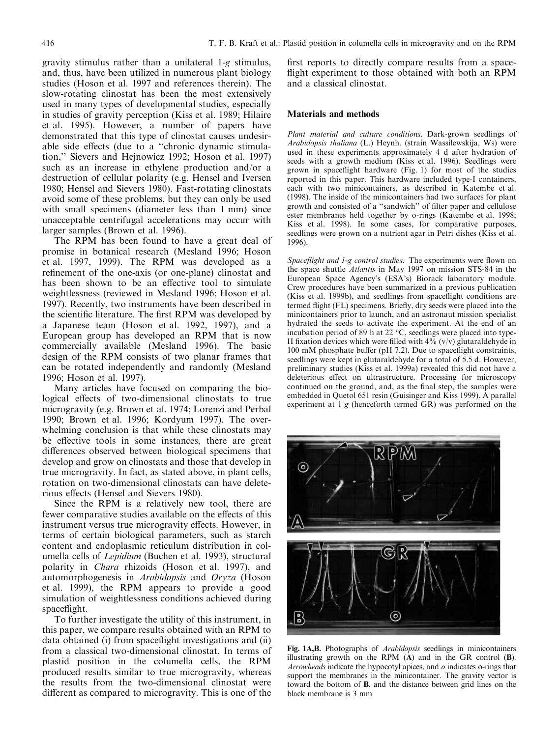gravity stimulus rather than a unilateral 1-g stimulus, and, thus, have been utilized in numerous plant biology studies (Hoson et al. 1997 and references therein). The slow-rotating clinostat has been the most extensively used in many types of developmental studies, especially in studies of gravity perception (Kiss et al. 1989; Hilaire et al. 1995). However, a number of papers have demonstrated that this type of clinostat causes undesirable side effects (due to a "chronic dynamic stimulation," Sievers and Hejnowicz 1992; Hoson et al. 1997) such as an increase in ethylene production and/or a destruction of cellular polarity (e.g. Hensel and Iversen 1980; Hensel and Sievers 1980). Fast-rotating clinostats avoid some of these problems, but they can only be used with small specimens (diameter less than 1 mm) since unacceptable centrifugal accelerations may occur with larger samples (Brown et al. 1996).

The RPM has been found to have a great deal of promise in botanical research (Mesland 1996; Hoson et al. 1997, 1999). The RPM was developed as a refinement of the one-axis (or one-plane) clinostat and has been shown to be an effective tool to simulate weightlessness (reviewed in Mesland 1996; Hoson et al. 1997). Recently, two instruments have been described in the scientific literature. The first RPM was developed by a Japanese team (Hoson et al. 1992, 1997), and a European group has developed an RPM that is now commercially available (Mesland 1996). The basic design of the RPM consists of two planar frames that can be rotated independently and randomly (Mesland 1996; Hoson et al. 1997).

Many articles have focused on comparing the biological effects of two-dimensional clinostats to true microgravity (e.g. Brown et al. 1974; Lorenzi and Perbal 1990; Brown et al. 1996; Kordyum 1997). The overwhelming conclusion is that while these clinostats may be effective tools in some instances, there are great differences observed between biological specimens that develop and grow on clinostats and those that develop in true microgravity. In fact, as stated above, in plant cells, rotation on two-dimensional clinostats can have deleterious effects (Hensel and Sievers 1980).

Since the RPM is a relatively new tool, there are fewer comparative studies available on the effects of this instrument versus true microgravity effects. However, in terms of certain biological parameters, such as starch content and endoplasmic reticulum distribution in columella cells of *Lepidium* (Buchen et al. 1993), structural polarity in *Chara* rhizoids (Hoson et al. 1997), and automorphogenesis in Arabidopsis and Oryza (Hoson et al. 1999), the RPM appears to provide a good simulation of weightlessness conditions achieved during spaceflight.

To further investigate the utility of this instrument, in this paper, we compare results obtained with an RPM to data obtained (i) from spaceflight investigations and (ii) from a classical two-dimensional clinostat. In terms of plastid position in the columella cells, the RPM produced results similar to true microgravity, whereas the results from the two-dimensional clinostat were different as compared to microgravity. This is one of the first reports to directly compare results from a spaceflight experiment to those obtained with both an RPM and a classical clinostat.

## **Materials and methods**

Plant material and culture conditions. Dark-grown seedlings of Arabidopsis thaliana (L.) Heynh. (strain Wassilewskija, Ws) were used in these experiments approximately 4 d after hydration of seeds with a growth medium (Kiss et al. 1996). Seedlings were grown in spaceflight hardware (Fig. 1) for most of the studies reported in this paper. This hardware included type-I containers, each with two minicontainers, as described in Katembe et al. (1998). The inside of the minicontainers had two surfaces for plant growth and consisted of a "sandwich" of filter paper and cellulose ester membranes held together by o-rings (Katembe et al. 1998; Kiss et al. 1998). In some cases, for comparative purposes, seedlings were grown on a nutrient agar in Petri dishes (Kiss et al. 1996).

Spaceflight and 1-g control studies. The experiments were flown on the space shuttle Atlantis in May 1997 on mission STS-84 in the European Space Agency's (ESA's) Biorack laboratory module. Crew procedures have been summarized in a previous publication (Kiss et al. 1999b), and seedlings from spaceflight conditions are termed flight (FL) specimens. Briefly, dry seeds were placed into the minicontainers prior to launch, and an astronaut mission specialist hydrated the seeds to activate the experiment. At the end of an incubation period of 89 h at 22 °C, seedlings were placed into type-II fixation devices which were filled with  $4\frac{9}{6}$  (v/v) glutaraldehyde in 100 mM phosphate buffer (pH 7.2). Due to spaceflight constraints, seedlings were kept in glutaraldehyde for a total of 5.5 d. However, preliminary studies (Kiss et al. 1999a) revealed this did not have a deleterious effect on ultrastructure. Processing for microscopy continued on the ground, and, as the final step, the samples were embedded in Quetol 651 resin (Guisinger and Kiss 1999). A parallel experiment at  $1 g$  (henceforth termed GR) was performed on the



Fig. 1A,B. Photographs of *Arabidopsis* seedlings in minicontainers illustrating growth on the RPM  $(A)$  and in the GR control  $(B)$ . Arrowheads indicate the hypocotyl apices, and  $o$  indicates o-rings that support the membranes in the minicontainer. The gravity vector is toward the bottom of **B**, and the distance between grid lines on the black membrane is 3 mm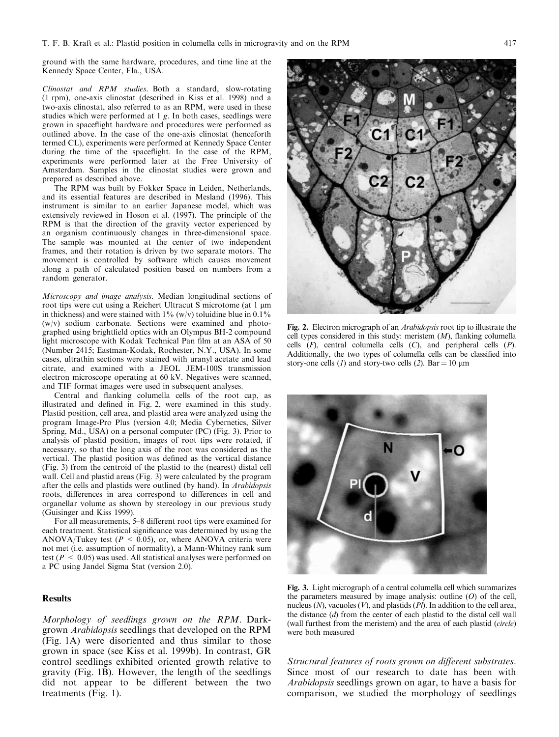ground with the same hardware, procedures, and time line at the Kennedy Space Center, Fla., USA.

Clinostat and RPM studies. Both a standard, slow-rotating (1 rpm), one-axis clinostat (described in Kiss et al. 1998) and a two-axis clinostat, also referred to as an RPM, were used in these studies which were performed at 1 g. In both cases, seedlings were grown in spaceflight hardware and procedures were performed as outlined above. In the case of the one-axis clinostat (henceforth termed CL), experiments were performed at Kennedy Space Center during the time of the spaceflight. In the case of the RPM, experiments were performed later at the Free University of Amsterdam. Samples in the clinostat studies were grown and prepared as described above.

The RPM was built by Fokker Space in Leiden, Netherlands, and its essential features are described in Mesland (1996). This instrument is similar to an earlier Japanese model, which was extensively reviewed in Hoson et al. (1997). The principle of the RPM is that the direction of the gravity vector experienced by an organism continuously changes in three-dimensional space. The sample was mounted at the center of two independent frames, and their rotation is driven by two separate motors. The movement is controlled by software which causes movement along a path of calculated position based on numbers from a random generator.

Microscopy and image analysis. Median longitudinal sections of root tips were cut using a Reichert Ultracut S microtome (at 1 µm in thickness) and were stained with  $1\%$  (w/v) toluidine blue in 0.1%  $(w/v)$  sodium carbonate. Sections were examined and photographed using brightfield optics with an Olympus BH-2 compound light microscope with Kodak Technical Pan film at an ASA of 50 (Number 2415; Eastman-Kodak, Rochester, N.Y., USA). In some cases, ultrathin sections were stained with uranyl acetate and lead citrate, and examined with a JEOL JEM-100S transmission electron microscope operating at 60 kV. Negatives were scanned, and TIF format images were used in subsequent analyses.

Central and flanking columella cells of the root cap, as illustrated and defined in Fig. 2, were examined in this study. Plastid position, cell area, and plastid area were analyzed using the program Image-Pro Plus (version 4.0; Media Cybernetics, Silver Spring, Md., USA) on a personal computer (PC) (Fig. 3). Prior to analysis of plastid position, images of root tips were rotated, if necessary, so that the long axis of the root was considered as the vertical. The plastid position was defined as the vertical distance (Fig. 3) from the centroid of the plastid to the (nearest) distal cell wall. Cell and plastid areas (Fig. 3) were calculated by the program after the cells and plastids were outlined (by hand). In *Arabidopsis* roots, differences in area correspond to differences in cell and organellar volume as shown by stereology in our previous study (Guisinger and Kiss 1999).

For all measurements, 5-8 different root tips were examined for each treatment. Statistical significance was determined by using the ANOVA/Tukey test ( $P < 0.05$ ), or, where ANOVA criteria were not met (i.e. assumption of normality), a Mann-Whitney rank sum test ( $P < 0.05$ ) was used. All statistical analyses were performed on a PC using Jandel Sigma Stat (version 2.0).

# **Results**

Morphology of seedlings grown on the RPM. Darkgrown Arabidopsis seedlings that developed on the RPM (Fig. 1A) were disoriented and thus similar to those grown in space (see Kiss et al. 1999b). In contrast, GR control seedlings exhibited oriented growth relative to gravity (Fig. 1B). However, the length of the seedlings did not appear to be different between the two treatments  $(Fig. 1)$ .



Fig. 2. Electron micrograph of an Arabidopsis root tip to illustrate the cell types considered in this study: meristem  $(M)$ , flanking columella cells  $(F)$ , central columella cells  $(C)$ , and peripheral cells  $(P)$ . Additionally, the two types of columella cells can be classified into story-one cells (1) and story-two cells (2). Bar = 10  $\mu$ m



Fig. 3. Light micrograph of a central columella cell which summarizes the parameters measured by image analysis: outline  $(O)$  of the cell, nucleus ( $N$ ), vacuoles ( $V$ ), and plastids ( $Pl$ ). In addition to the cell area, the distance  $(d)$  from the center of each plastid to the distal cell wall (wall furthest from the meristem) and the area of each plastid (circle) were both measured

Structural features of roots grown on different substrates. Since most of our research to date has been with *Arabidopsis* seedlings grown on agar, to have a basis for comparison, we studied the morphology of seedlings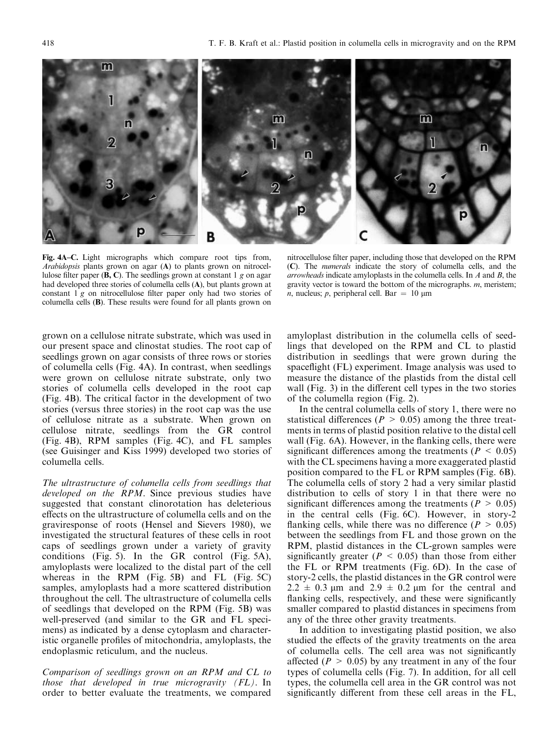Fig. 4A–C. Light micrographs which compare root tips from. Arabidopsis plants grown on agar (A) to plants grown on nitrocellulose filter paper (**B**, C). The seedlings grown at constant 1 g on agar had developed three stories of columella cells (A), but plants grown at constant 1 g on nitrocellulose filter paper only had two stories of columella cells (B). These results were found for all plants grown on

nitrocellulose filter paper, including those that developed on the RPM (C). The *numerals* indicate the story of columella cells, and the *arrowheads* indicate amyloplasts in the columella cells. In  $A$  and  $B$ , the gravity vector is toward the bottom of the micrographs.  $m$ , meristem; *n*, nucleus; *p*, peripheral cell. Bar = 10  $\mu$ m

grown on a cellulose nitrate substrate, which was used in our present space and clinostat studies. The root cap of seedlings grown on agar consists of three rows or stories of columella cells (Fig. 4A). In contrast, when seedlings were grown on cellulose nitrate substrate, only two stories of columella cells developed in the root cap (Fig. 4B). The critical factor in the development of two stories (versus three stories) in the root cap was the use of cellulose nitrate as a substrate. When grown on cellulose nitrate, seedlings from the GR control (Fig. 4B), RPM samples (Fig. 4C), and FL samples (see Guisinger and Kiss 1999) developed two stories of columella cells.

The ultrastructure of columella cells from seedlings that *developed on the RPM.* Since previous studies have suggested that constant clinorotation has deleterious effects on the ultrastructure of columella cells and on the graviresponse of roots (Hensel and Sievers 1980), we investigated the structural features of these cells in root caps of seedlings grown under a variety of gravity conditions (Fig. 5). In the GR control (Fig. 5A), amyloplasts were localized to the distal part of the cell whereas in the RPM (Fig. 5B) and FL (Fig. 5C) samples, amyloplasts had a more scattered distribution throughout the cell. The ultrastructure of columella cells of seedlings that developed on the RPM (Fig. 5B) was well-preserved (and similar to the GR and FL specimens) as indicated by a dense cytoplasm and characteristic organelle profiles of mitochondria, amyloplasts, the endoplasmic reticulum, and the nucleus.

Comparison of seedlings grown on an RPM and CL to those that developed in true microgravity  $(FL)$ . In order to better evaluate the treatments, we compared amyloplast distribution in the columella cells of seedlings that developed on the RPM and CL to plastid distribution in seedlings that were grown during the spaceflight (FL) experiment. Image analysis was used to measure the distance of the plastids from the distal cell wall (Fig. 3) in the different cell types in the two stories of the columella region (Fig. 2).

In the central columella cells of story 1, there were no statistical differences ( $P > 0.05$ ) among the three treatments in terms of plastid position relative to the distal cell wall (Fig. 6A). However, in the flanking cells, there were significant differences among the treatments ( $P < 0.05$ ) with the CL specimens having a more exaggerated plastid position compared to the FL or RPM samples (Fig. 6B). The columella cells of story 2 had a very similar plastid distribution to cells of story 1 in that there were no significant differences among the treatments ( $P > 0.05$ ) in the central cells (Fig. 6C). However, in story-2 flanking cells, while there was no difference ( $P > 0.05$ ) between the seedlings from FL and those grown on the RPM, plastid distances in the CL-grown samples were significantly greater ( $P < 0.05$ ) than those from either the FL or RPM treatments (Fig. 6D). In the case of story-2 cells, the plastid distances in the GR control were  $2.2 \pm 0.3$  µm and  $2.9 \pm 0.2$  µm for the central and flanking cells, respectively, and these were significantly smaller compared to plastid distances in specimens from any of the three other gravity treatments.

In addition to investigating plastid position, we also studied the effects of the gravity treatments on the area of columella cells. The cell area was not significantly affected ( $P > 0.05$ ) by any treatment in any of the four types of columella cells (Fig. 7). In addition, for all cell types, the columella cell area in the GR control was not significantly different from these cell areas in the FL,

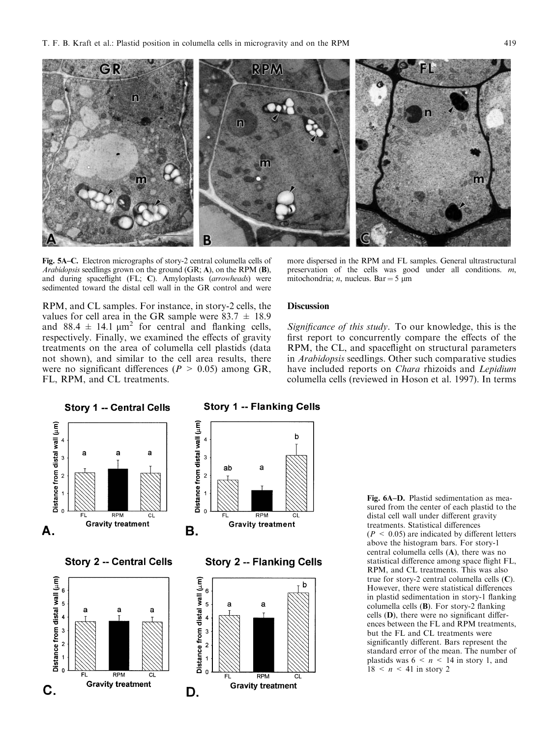

Fig. 5A-C. Electron micrographs of story-2 central columella cells of Arabidopsis seedlings grown on the ground (GR; A), on the RPM (B), and during spaceflight (FL; C). Amyloplasts (arrowheads) were sedimented toward the distal cell wall in the GR control and were

more dispersed in the RPM and FL samples. General ultrastructural preservation of the cells was good under all conditions.  $m$ , mitochondria; *n*, nucleus. Bar = 5  $\mu$ m

RPM, and CL samples. For instance, in story-2 cells, the values for cell area in the GR sample were  $83.7 \pm 18.9$ and 88.4  $\pm$  14.1  $\mu$ m<sup>2</sup> for central and flanking cells, respectively. Finally, we examined the effects of gravity treatments on the area of columella cell plastids (data not shown), and similar to the cell area results, there were no significant differences ( $P > 0.05$ ) among GR, FL, RPM, and CL treatments.

## **Discussion**

Significance of this study. To our knowledge, this is the first report to concurrently compare the effects of the RPM, the CL, and spaceflight on structural parameters in *Arabidopsis* seedlings. Other such comparative studies have included reports on *Chara* rhizoids and *Lepidium* columella cells (reviewed in Hoson et al. 1997). In terms



Fig. 6A-D. Plastid sedimentation as measured from the center of each plastid to the distal cell wall under different gravity treatments. Statistical differences  $(P < 0.05)$  are indicated by different letters above the histogram bars. For story-1 central columella cells (A), there was no statistical difference among space flight FL, RPM, and CL treatments. This was also true for story-2 central columella cells  $(C)$ . However, there were statistical differences in plastid sedimentation in story-1 flanking columella cells (B). For story-2 flanking cells (D), there were no significant differences between the FL and RPM treatments, but the FL and CL treatments were significantly different. Bars represent the standard error of the mean. The number of plastids was  $6 \le n \le 14$  in story 1, and  $18 < n < 41$  in story 2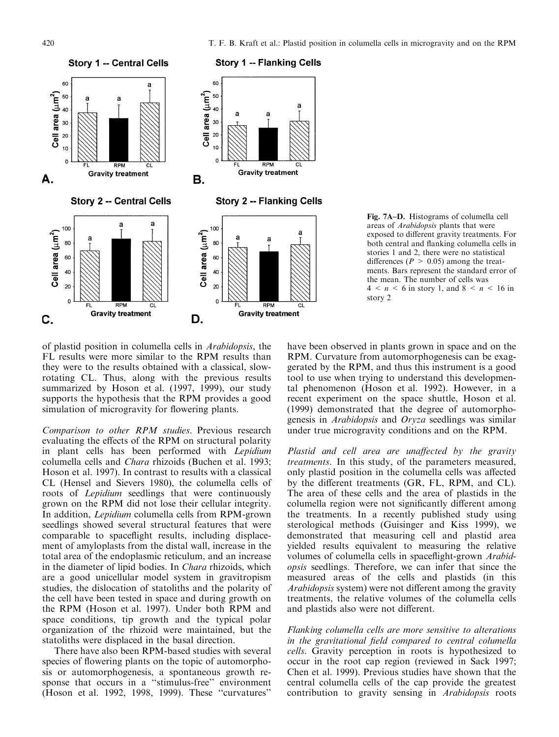

## Fig. 7A-D. Histograms of columella cell areas of Arabidopsis plants that were exposed to different gravity treatments. For both central and flanking columella cells in stories 1 and 2, there were no statistical differences ( $P > 0.05$ ) among the treatments. Bars represent the standard error of the mean. The number of cells was  $4 < n < 6$  in story 1, and  $8 < n < 16$  in story 2

of plastid position in columella cells in Arabidopsis, the FL results were more similar to the RPM results than they were to the results obtained with a classical, slowrotating CL. Thus, along with the previous results summarized by Hoson et al. (1997, 1999), our study supports the hypothesis that the RPM provides a good simulation of microgravity for flowering plants.

Comparison to other RPM studies. Previous research evaluating the effects of the RPM on structural polarity in plant cells has been performed with Lepidium columella cells and Chara rhizoids (Buchen et al. 1993; Hoson et al. 1997). In contrast to results with a classical CL (Hensel and Sievers 1980), the columella cells of roots of *Lepidium* seedlings that were continuously grown on the RPM did not lose their cellular integrity. In addition, Lepidium columella cells from RPM-grown seedlings showed several structural features that were comparable to spaceflight results, including displacement of amyloplasts from the distal wall, increase in the total area of the endoplasmic reticulum, and an increase in the diameter of lipid bodies. In *Chara* rhizoids, which are a good unicellular model system in gravitropism studies, the dislocation of statoliths and the polarity of the cell have been tested in space and during growth on the RPM (Hoson et al. 1997). Under both RPM and space conditions, tip growth and the typical polar organization of the rhizoid were maintained, but the statoliths were displaced in the basal direction.

There have also been RPM-based studies with several species of flowering plants on the topic of automorphosis or automorphogenesis, a spontaneous growth response that occurs in a "stimulus-free" environment (Hoson et al. 1992, 1998, 1999). These "curvatures"

have been observed in plants grown in space and on the RPM. Curvature from automorphogenesis can be exaggerated by the RPM, and thus this instrument is a good tool to use when trying to understand this developmental phenomenon (Hoson et al. 1992). However, in a recent experiment on the space shuttle, Hoson et al. (1999) demonstrated that the degree of automorphogenesis in *Arabidopsis* and *Oryza* seedlings was similar under true microgravity conditions and on the RPM.

Plastid and cell area are unaffected by the gravity treatments. In this study, of the parameters measured, only plastid position in the columella cells was affected by the different treatments (GR, FL, RPM, and CL). The area of these cells and the area of plastids in the columella region were not significantly different among the treatments. In a recently published study using sterological methods (Guisinger and Kiss 1999), we demonstrated that measuring cell and plastid area yielded results equivalent to measuring the relative volumes of columella cells in spaceflight-grown Arabid*opsis* seedlings. Therefore, we can infer that since the measured areas of the cells and plastids (in this *Arabidopsis* system) were not different among the gravity treatments, the relative volumes of the columella cells and plastids also were not different.

Flanking columella cells are more sensitive to alterations in the gravitational field compared to central columella cells. Gravity perception in roots is hypothesized to occur in the root cap region (reviewed in Sack 1997; Chen et al. 1999). Previous studies have shown that the central columella cells of the cap provide the greatest contribution to gravity sensing in Arabidopsis roots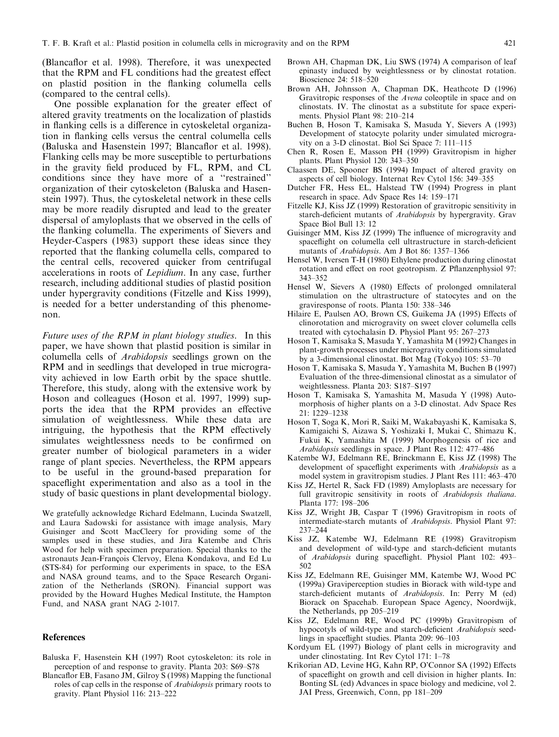(Blancaflor et al. 1998). Therefore, it was unexpected that the RPM and FL conditions had the greatest effect on plastid position in the flanking columella cells (compared to the central cells).

One possible explanation for the greater effect of altered gravity treatments on the localization of plastids in flanking cells is a difference in cytoskeletal organization in flanking cells versus the central columella cells (Baluska and Hasenstein 1997; Blancaflor et al. 1998). Flanking cells may be more susceptible to perturbations in the gravity field produced by FL, RPM, and CL conditions since they have more of a "restrained" organization of their cytoskeleton (Baluska and Hasenstein 1997). Thus, the cytoskeletal network in these cells may be more readily disrupted and lead to the greater dispersal of amyloplasts that we observed in the cells of the flanking columella. The experiments of Sievers and Heyder-Caspers (1983) support these ideas since they reported that the flanking columella cells, compared to the central cells, recovered quicker from centrifugal accelerations in roots of *Lepidium*. In any case, further research, including additional studies of plastid position under hypergravity conditions (Fitzelle and Kiss 1999), is needed for a better understanding of this phenomenon.

*Future uses of the RPM in plant biology studies.* In this paper, we have shown that plastid position is similar in columella cells of *Arabidopsis* seedlings grown on the RPM and in seedlings that developed in true microgravity achieved in low Earth orbit by the space shuttle. Therefore, this study, along with the extensive work by Hoson and colleagues (Hoson et al. 1997, 1999) supports the idea that the RPM provides an effective simulation of weightlessness. While these data are intriguing, the hypothesis that the RPM effectively simulates weightlessness needs to be confirmed on greater number of biological parameters in a wider range of plant species. Nevertheless, the RPM appears to be useful in the ground-based preparation for spaceflight experimentation and also as a tool in the study of basic questions in plant developmental biology.

We gratefully acknowledge Richard Edelmann, Lucinda Swatzell, and Laura Sadowski for assistance with image analysis, Mary Guisinger and Scott MacCleery for providing some of the samples used in these studies, and Jira Katembe and Chris Wood for help with specimen preparation. Special thanks to the astronauts Jean-François Clervoy, Elena Kondakova, and Ed Lu (STS-84) for performing our experiments in space, to the ESA and NASA ground teams, and to the Space Research Organization of the Netherlands (SRON). Financial support was provided by the Howard Hughes Medical Institute, the Hampton Fund, and NASA grant NAG 2-1017.

#### **References**

- Baluska F, Hasenstein KH (1997) Root cytoskeleton: its role in perception of and response to gravity. Planta 203: S69–S78
- Blancaflor EB, Fasano JM, Gilroy S (1998) Mapping the functional roles of cap cells in the response of *Arabidopsis* primary roots to gravity. Plant Physiol 116: 213-222
- Brown AH, Chapman DK, Liu SWS (1974) A comparison of leaf epinasty induced by weightlessness or by clinostat rotation. Bioscience 24: 518-520
- Brown AH, Johnsson A, Chapman DK, Heathcote D (1996) Gravitropic responses of the *Avena* coleoptile in space and on clinostats. IV. The clinostat as a substitute for space experiments. Physiol Plant 98: 210-214
- Buchen B, Hoson T, Kamisaka S, Masuda Y, Sievers A (1993) Development of statocyte polarity under simulated microgravitv on a 3-D clinostat. Biol Sci Space 7: 111-115
- Chen R, Rosen E, Masson PH (1999) Gravitropism in higher plants. Plant Physiol 120: 343-350
- Claassen DE, Spooner BS (1994) Impact of altered gravity on aspects of cell biology. Internat Rev Cytol 156: 349-355
- Dutcher FR, Hess EL, Halstead TW (1994) Progress in plant research in space. Adv Space Res 14: 159-171
- Fitzelle KJ, Kiss JZ (1999) Restoration of gravitropic sensitivity in starch-deficient mutants of Arabidopsis by hypergravity. Grav Space Biol Bull 13: 12
- Guisinger MM, Kiss JZ (1999) The influence of microgravity and spaceflight on columella cell ultrastructure in starch-deficient mutants of Arabidopsis. Am J Bot 86: 1357-1366
- Hensel W, Iversen T-H (1980) Ethylene production during clinostat rotation and effect on root geotropism. Z Pflanzenphysiol 97:  $343 - 352$
- Hensel W, Sievers A (1980) Effects of prolonged omnilateral stimulation on the ultrastructure of statocytes and on the graviresponse of roots. Planta 150: 338-346
- Hilaire E, Paulsen AO, Brown CS, Guikema JA (1995) Effects of clinorotation and microgravity on sweet clover columella cells treated with cytochalasin D. Physiol Plant 95: 267-273
- Hoson T, Kamisaka S, Masuda Y, Yamashita M (1992) Changes in plant-growth processes under microgravity conditions simulated by a 3-dimensional clinostat. Bot Mag (Tokyo) 105: 53-70
- Hoson T, Kamisaka S, Masuda Y, Yamashita M, Buchen B (1997) Evaluation of the three-dimensional clinostat as a simulator of weightlessness. Planta 203: S187-S197
- Hoson T, Kamisaka S, Yamashita M, Masuda Y (1998) Automorphosis of higher plants on a 3-D clinostat. Adv Space Res 21: 1229-1238
- Hoson T, Soga K, Mori R, Saiki M, Wakabayashi K, Kamisaka S, Kamigaichi S, Aizawa S, Yoshizaki I, Mukai C, Shimazu K, Fukui K, Yamashita M (1999) Morphogenesis of rice and Arabidopsis seedlings in space. J Plant Res 112: 477-486
- Katembe WJ, Edelmann RE, Brinckmann E, Kiss JZ (1998) The development of spaceflight experiments with Arabidopsis as a model system in gravitropism studies. J Plant Res 111: 463-470
- Kiss JZ, Hertel R, Sack FD (1989) Amyloplasts are necessary for full gravitropic sensitivity in roots of Arabidopsis thaliana. Planta 177: 198-206
- Kiss JZ, Wright JB, Caspar T (1996) Gravitropism in roots of intermediate-starch mutants of Arabidopsis. Physiol Plant 97:  $237 - 244$
- Kiss JZ, Katembe WJ, Edelmann RE (1998) Gravitropism and development of wild-type and starch-deficient mutants of Arabidopsis during spaceflight. Physiol Plant 102: 493-502
- Kiss JZ, Edelmann RE, Guisinger MM, Katembe WJ, Wood PC (1999a) Graviperception studies in Biorack with wild-type and starch-deficient mutants of Arabidopsis. In: Perry M (ed) Biorack on Spacehab. European Space Agency, Noordwijk, the Netherlands, pp 205-219
- Kiss JZ, Edelmann RE, Wood PC (1999b) Gravitropism of hypocotyls of wild-type and starch-deficient Arabidopsis seedlings in spaceflight studies. Planta 209: 96–103
- Kordyum EL (1997) Biology of plant cells in microgravity and under clinostating. Int Rev Cytol 171: 1-78
- Krikorian AD, Levine HG, Kahn RP, O'Connor SA (1992) Effects of spaceflight on growth and cell division in higher plants. In: Bonting SL (ed) Advances in space biology and medicine, vol 2. JAI Press, Greenwich, Conn, pp 181-209